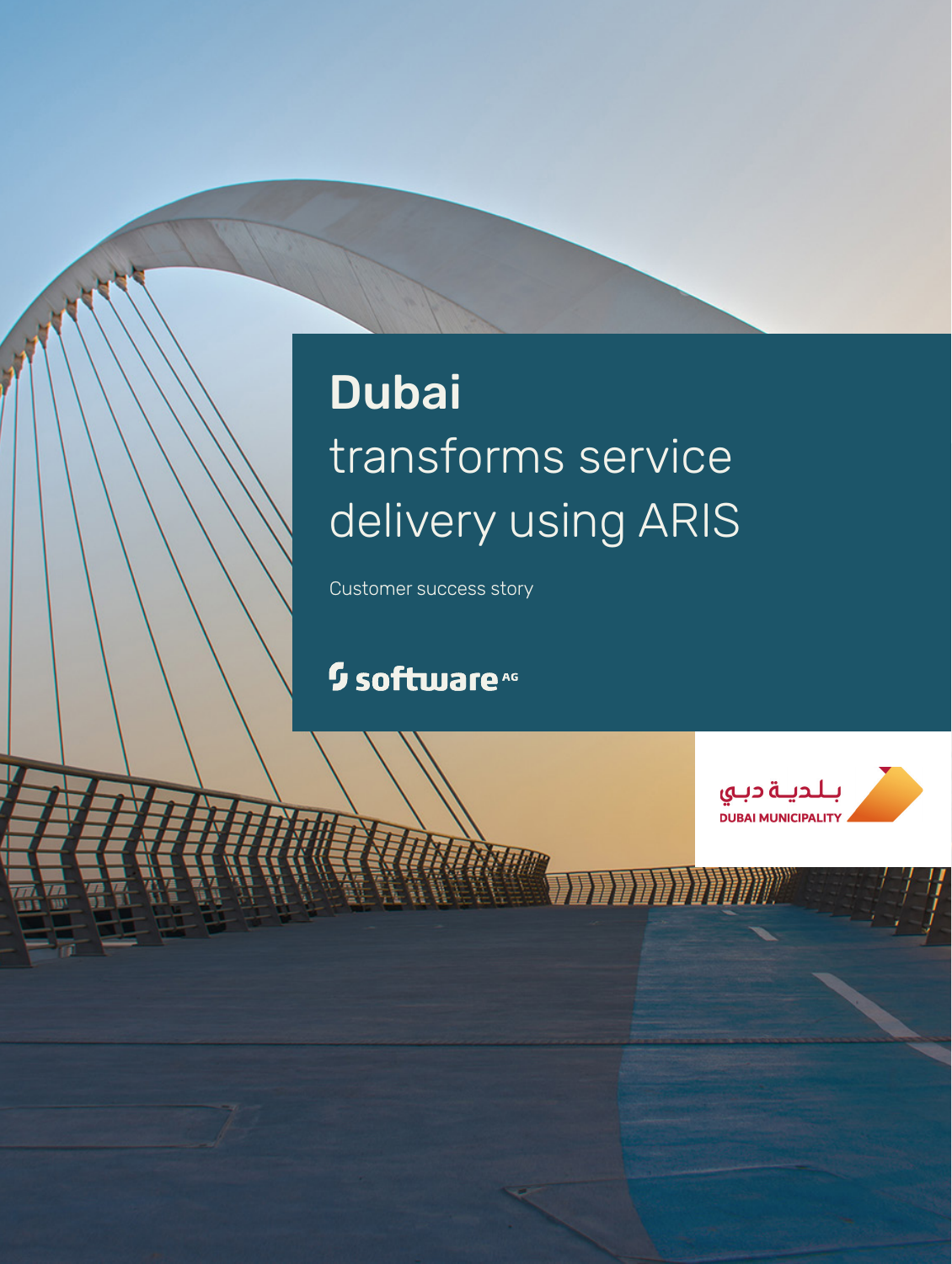# **Dubai** transforms service delivery using ARIS

Customer success story

## <sup>5</sup> software<sup>46</sup>

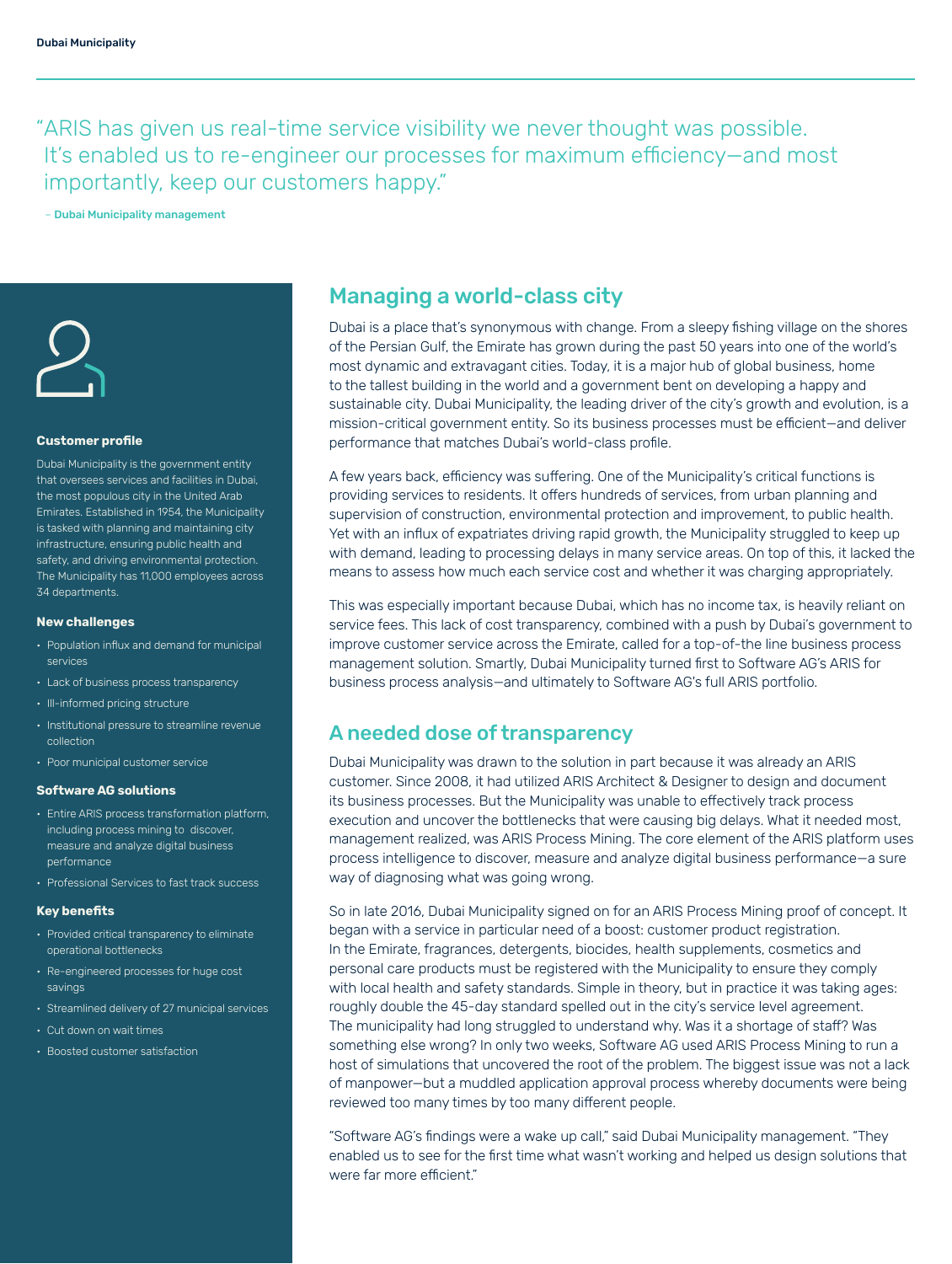"ARIS has given us real-time service visibility we never thought was possible. It's enabled us to re-engineer our processes for maximum efficiency—and most importantly, keep our customers happy."

– Dubai Municipality management



## **Customer profile**

Dubai Municipality is the government entity that oversees services and facilities in Dubai, the most populous city in the United Arab Emirates. Established in 1954, the Municipality is tasked with planning and maintaining city infrastructure, ensuring public health and safety, and driving environmental protection. The Municipality has 11,000 employees across 34 departments.

#### **New challenges**

- Population influx and demand for municipal services
- Lack of business process transparency
- Ill-informed pricing structure
- Institutional pressure to streamline revenue collection
- Poor municipal customer service

## **Software AG solutions**

- Entire ARIS process transformation platform, including process mining to discover, measure and analyze digital business performance
- Professional Services to fast track success

#### **Key benefits**

- Provided critical transparency to eliminate operational bottlenecks
- Re-engineered processes for huge cost savings
- Streamlined delivery of 27 municipal services
- Cut down on wait times
- Boosted customer satisfaction

## Managing a world-class city

Dubai is a place that's synonymous with change. From a sleepy fishing village on the shores of the Persian Gulf, the Emirate has grown during the past 50 years into one of the world's most dynamic and extravagant cities. Today, it is a major hub of global business, home to the tallest building in the world and a government bent on developing a happy and sustainable city. Dubai Municipality, the leading driver of the city's growth and evolution, is a mission-critical government entity. So its business processes must be efficient—and deliver performance that matches Dubai's world-class profile.

A few years back, efficiency was suffering. One of the Municipality's critical functions is providing services to residents. It offers hundreds of services, from urban planning and supervision of construction, environmental protection and improvement, to public health. Yet with an influx of expatriates driving rapid growth, the Municipality struggled to keep up with demand, leading to processing delays in many service areas. On top of this, it lacked the means to assess how much each service cost and whether it was charging appropriately.

This was especially important because Dubai, which has no income tax, is heavily reliant on service fees. This lack of cost transparency, combined with a push by Dubai's government to improve customer service across the Emirate, called for a top-of-the line business process management solution. Smartly, Dubai Municipality turned first to Software AG's ARIS for business process analysis—and ultimately to Software AG's full ARIS portfolio.

## A needed dose of transparency

Dubai Municipality was drawn to the solution in part because it was already an ARIS customer. Since 2008, it had utilized ARIS Architect & Designer to design and document its business processes. But the Municipality was unable to effectively track process execution and uncover the bottlenecks that were causing big delays. What it needed most, management realized, was ARIS Process Mining. The core element of the ARIS platform uses process intelligence to discover, measure and analyze digital business performance—a sure way of diagnosing what was going wrong.

So in late 2016, Dubai Municipality signed on for an ARIS Process Mining proof of concept. It began with a service in particular need of a boost: customer product registration. In the Emirate, fragrances, detergents, biocides, health supplements, cosmetics and personal care products must be registered with the Municipality to ensure they comply with local health and safety standards. Simple in theory, but in practice it was taking ages: roughly double the 45-day standard spelled out in the city's service level agreement. The municipality had long struggled to understand why. Was it a shortage of staff? Was something else wrong? In only two weeks, Software AG used ARIS Process Mining to run a host of simulations that uncovered the root of the problem. The biggest issue was not a lack of manpower—but a muddled application approval process whereby documents were being reviewed too many times by too many different people.

"Software AG's findings were a wake up call," said Dubai Municipality management. "They enabled us to see for the first time what wasn't working and helped us design solutions that were far more efficient."